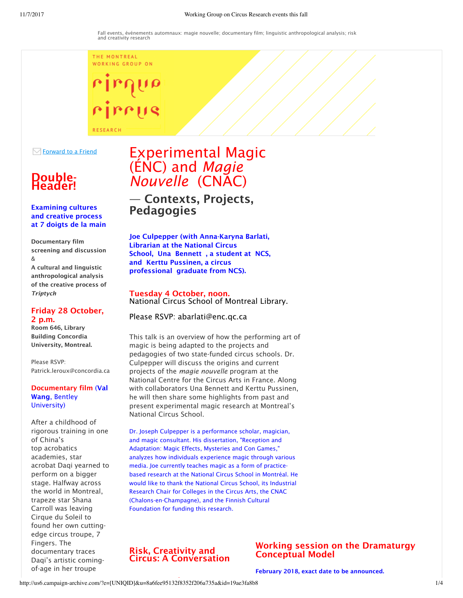THE MONTREAL WORKING GROUP ON



 $\boxdot$  Forward to a Friend

# Double- Header!

#### Examining cultures and creative process at 7 doigts de la main

Documentary film screening and discussion &

A cultural and linguistic anthropological analysis of the creative process of *Triptych*

#### Friday 28 October, 2 p.m.

Room 646, Library Building Concordia University, Montreal.

Please RSVP: Patrick.leroux@concordia.ca

#### Documentary film (Val Wang, Bentley University)

After a childhood of rigorous training in one of China's top acrobatics academies, star acrobat Daqi yearned to perform on a bigger stage. Halfway across the world in Montreal, trapeze star Shana Carroll was leaving Cirque du Soleil to found her own cuttingedge circus troupe, 7 Fingers. The documentary traces Daqi's artistic comingof-age in her troupe

# Experimental Magic (ÉNC) and *Magie Nouvelle* (CNAC)

— Contexts, Projects, Pedagogies

Joe Culpepper (with Anna-Karyna Barlati, Librarian at the National Circus School, Una Bennett , a student at NCS, and Kerttu Pussinen, a circus professional graduate from NCS).

#### Tuesday 4 October, noon. National Circus School of Montreal Library.

#### Please RSVP: abarlati@enc.qc.ca

This talk is an overview of how the performing art of magic is being adapted to the projects and pedagogies of two state-funded circus schools. Dr. Culpepper will discuss the origins and current projects of the *magie nouvelle* program at the National Centre for the Circus Arts in France. Along with collaborators Una Bennett and Kerttu Pussinen, he will then share some highlights from past and present experimental magic research at Montreal's National Circus School.

Dr. Joseph Culpepper is a performance scholar, magician, and magic consultant. His dissertation, "Reception and Adaptation: Magic Effects, Mysteries and Con Games," analyzes how individuals experience magic through various media. Joe currently teaches magic as a form of practicebased research at the National Circus School in Montréal. He would like to thank the National Circus School, its Industrial Research Chair for Colleges in the Circus Arts, the CNAC (Chalons-en-Champagne), and the Finnish Cultural Foundation for funding this research.

#### Risk, Creativity and Circus: A Conversation

### Working session on the Dramaturgy Conceptual Model

February 2018, exact date to be announced.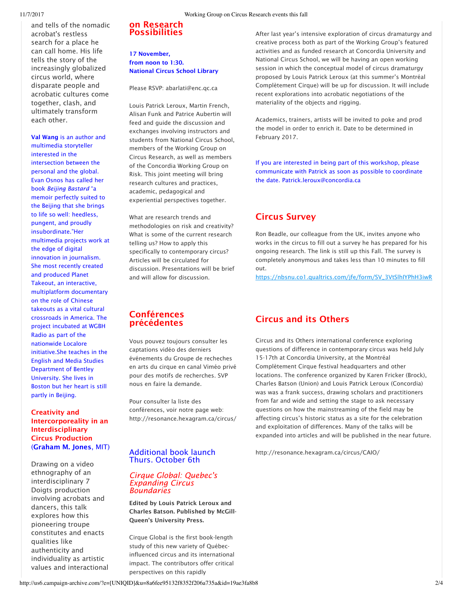and tells of the nomadic acrobat's restless search for a place he can call home. His life tells the story of the increasingly globalized circus world, where disparate people and acrobatic cultures come together, clash, and ultimately transform each other.

Val Wang is an author and multimedia storyteller interested in the intersection between the personal and the global. Evan Osnos has called her book *Beijing Bastard* "a memoir perfectly suited to the Beijing that she brings to life so well: heedless, pungent, and proudly insubordinate."Her multimedia projects work at the edge of digital innovation in journalism. She most recently created and produced Planet Takeout, an interactive, multiplatform documentary on the role of Chinese takeouts as a vital cultural crossroads in America. The project incubated at WGBH Radio as part of the nationwide Localore initiative.She teaches in the English and Media Studies Department of Bentley University. She lives in Boston but her heart is still partly in Beijing.

#### Creativity and Intercorporeality in an Interdisciplinary Circus Production (Graham M. Jones, MIT)

Drawing on a video ethnography of an interdisciplinary 7 Doigts production involving acrobats and dancers, this talk explores how this pioneering troupe constitutes and enacts qualities like authenticity and individuality as artistic values and interactional

#### on Research Possibilities

#### 17 November, from noon to 1:30. National Circus School Library

Please RSVP: abarlati@enc.qc.ca

Louis Patrick Leroux, Martin French, Alisan Funk and Patrice Aubertin will feed and guide the discussion and exchanges involving instructors and students from National Circus School, members of the Working Group on Circus Research, as well as members of the Concordia Working Group on Risk. This joint meeting will bring research cultures and practices, academic, pedagogical and experiential perspectives together.

What are research trends and methodologies on risk and creativity? What is some of the current research telling us? How to apply this specifically to contemporary circus? Articles will be circulated for discussion. Presentations will be brief and will allow for discussion.

After last year's intensive exploration of circus dramaturgy and creative process both as part of the Working Group's featured activities and as funded research at Concordia University and National Circus School, we will be having an open working session in which the conceptual model of circus dramaturgy proposed by Louis Patrick Leroux (at this summer's Montréal Complètement Cirque) will be up for discussion. It will include recent explorations into acrobatic negotiations of the materiality of the objects and rigging.

Academics, trainers, artists will be invited to poke and prod the model in order to enrich it. Date to be determined in February 2017.

If you are interested in being part of this workshop, please communicate with Patrick as soon as possible to coordinate the date. Patrick.leroux@concordia.ca

# Circus Survey

Ron Beadle, our colleague from the UK, invites anyone who works in the circus to fill out a survey he has prepared for his ongoing research. The link is still up this Fall. The survey is completely anonymous and takes less than 10 minutes to fill out.

https://nbsnu.co1.qualtrics.com/jfe/form/SV\_3VtSlhIYPhH3iwR

#### Conférences précédentes

Vous pouvez toujours consulter les captations vidéo des derniers événements du Groupe de recheches en arts du cirque en canal Viméo privé pour des motifs de recherches. SVP nous en faire la demande.

Pour consulter la liste des conférences, voir notre page web: http://resonance.hexagram.ca/circus/

#### Additional book launch Thurs. October 6th

#### *Cirque Global: Quebec's Expanding Circus Boundaries*

Edited by Louis Patrick Leroux and Charles Batson. Published by McGill-Queen's University Press.

Cirque Global is the first book-length study of this new variety of Québecinfluenced circus and its international impact. The contributors offer critical perspectives on this rapidly

## Circus and its Others

Circus and its Others international conference exploring questions of difference in contemporary circus was held July 15-17th at Concordia University, at the Montréal Complètement Cirque festival headquarters and other locations. The conference organized by Karen Fricker (Brock), Charles Batson (Union) and Louis Patrick Leroux (Concordia) was was a frank success, drawing scholars and practitioners from far and wide and setting the stage to ask necessary questions on how the mainstreaming of the field may be affecting circus's historic status as a site for the celebration and exploitation of differences. Many of the talks will be expanded into articles and will be published in the near future.

http://resonance.hexagram.ca/circus/CAIO/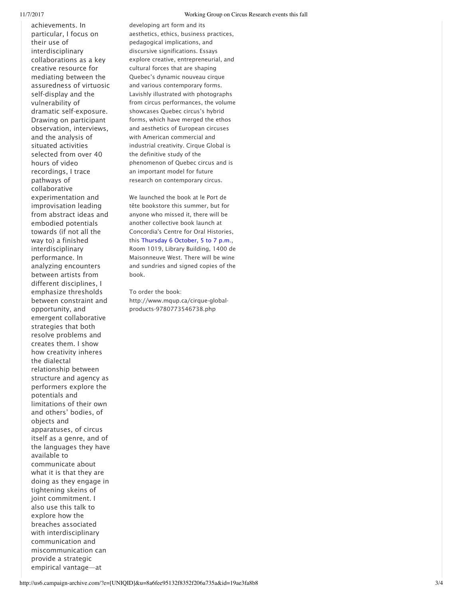achievements. In particular, I focus on their use of interdisciplinary collaborations as a key creative resource for mediating between the assuredness of virtuosic self-display and the vulnerability of dramatic self-exposure. Drawing on participant observation, interviews, and the analysis of situated activities selected from over 40 hours of video recordings, I trace pathways of collaborative experimentation and improvisation leading from abstract ideas and embodied potentials towards (if not all the way to) a finished interdisciplinary performance. In analyzing encounters between artists from different disciplines, I emphasize thresholds between constraint and opportunity, and emergent collaborative strategies that both resolve problems and creates them. I show how creativity inheres the dialectal relationship between structure and agency as performers explore the potentials and limitations of their own and others' bodies, of objects and apparatuses, of circus itself as a genre, and of the languages they have available to communicate about what it is that they are doing as they engage in tightening skeins of joint commitment. I also use this talk to explore how the breaches associated with interdisciplinary communication and miscommunication can provide a strategic

empirical vantage—at

developing art form and its aesthetics, ethics, business practices, pedagogical implications, and discursive significations. Essays explore creative, entrepreneurial, and cultural forces that are shaping Quebec's dynamic nouveau cirque and various contemporary forms. Lavishly illustrated with photographs from circus performances, the volume showcases Quebec circus's hybrid forms, which have merged the ethos and aesthetics of European circuses with American commercial and industrial creativity. Cirque Global is the definitive study of the phenomenon of Quebec circus and is an important model for future research on contemporary circus.

We launched the book at le Port de tête bookstore this summer, but for anyone who missed it, there will be another collective book launch at Concordia's Centre for Oral Histories, this Thursday 6 October, 5 to 7 p.m., Room 1019, Library Building, 1400 de Maisonneuve West. There will be wine and sundries and signed copies of the book.

To order the book: http://www.mqup.ca/cirque-globalproducts-9780773546738.php